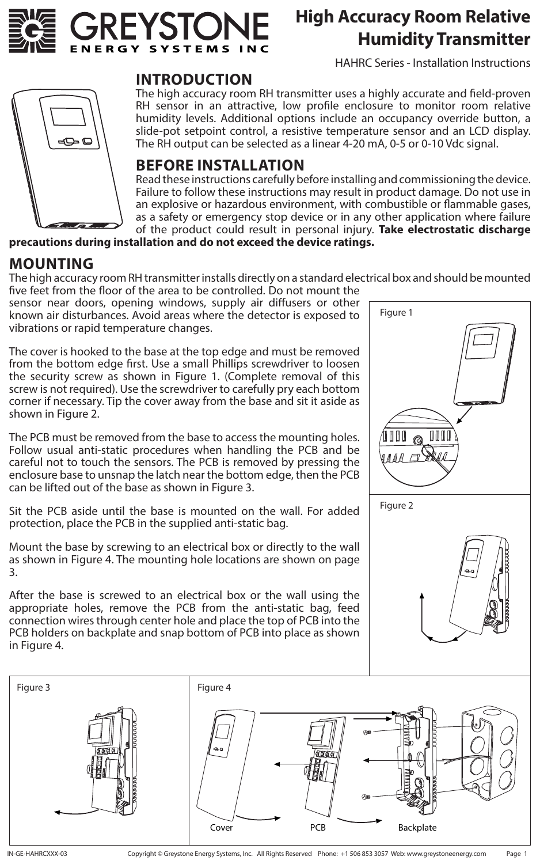

# **High Accuracy Room Relative Humidity Transmitter**

HAHRC Series - Installation Instructions



### **INTRODUCTION**

The high accuracy room RH transmitter uses a highly accurate and field-proven RH sensor in an attractive, low profile enclosure to monitor room relative humidity levels. Additional options include an occupancy override button, a slide-pot setpoint control, a resistive temperature sensor and an LCD display. The RH output can be selected as a linear 4-20 mA, 0-5 or 0-10 Vdc signal.

### **BEFORE INSTALLATION**

Read these instructions carefully before installing and commissioning the device. Failure to follow these instructions may result in product damage. Do not use in an explosive or hazardous environment, with combustible or flammable gases, as a safety or emergency stop device or in any other application where failure of the product could result in personal injury. **Take electrostatic discharge** 

**precautions during installation and do not exceed the device ratings.**

### **MOUNTING**

The high accuracy room RH transmitter installs directly on a standard electrical box and should be mounted five feet from the floor of the area to be controlled. Do not mount the

sensor near doors, opening windows, supply air diffusers or other known air disturbances. Avoid areas where the detector is exposed to vibrations or rapid temperature changes.

The cover is hooked to the base at the top edge and must be removed from the bottom edge first. Use a small Phillips screwdriver to loosen the security screw as shown in Figure 1. (Complete removal of this screw is not required). Use the screwdriver to carefully pry each bottom corner if necessary. Tip the cover away from the base and sit it aside as shown in Figure 2.

The PCB must be removed from the base to access the mounting holes. Follow usual anti-static procedures when handling the PCB and be careful not to touch the sensors. The PCB is removed by pressing the enclosure base to unsnap the latch near the bottom edge, then the PCB can be lifted out of the base as shown in Figure 3.

Sit the PCB aside until the base is mounted on the wall. For added protection, place the PCB in the supplied anti-static bag.

Mount the base by screwing to an electrical box or directly to the wall as shown in Figure 4. The mounting hole locations are shown on page 3.

After the base is screwed to an electrical box or the wall using the appropriate holes, remove the PCB from the anti-static bag, feed connection wires through center hole and place the top of PCB into the PCB holders on backplate and snap bottom of PCB into place as shown in Figure 4.





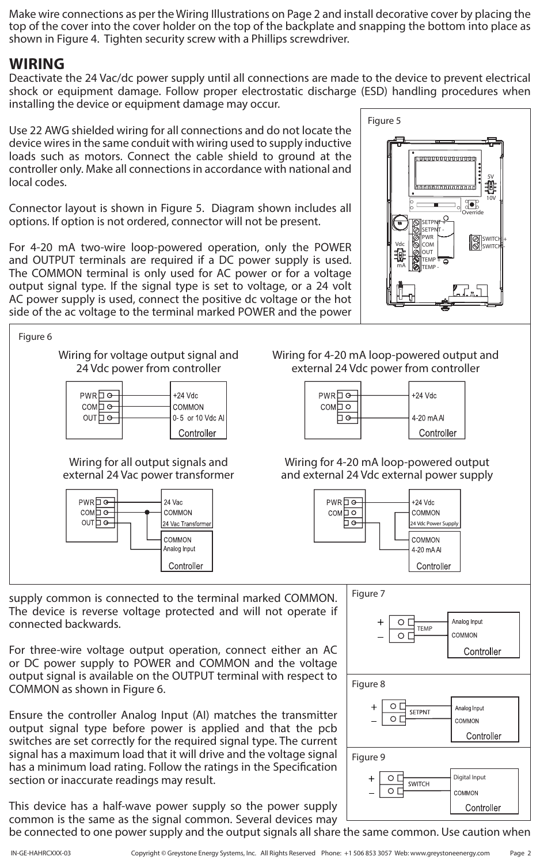Make wire connections as per the Wiring Illustrations on Page 2 and install decorative cover by placing the top of the cover into the cover holder on the top of the backplate and snapping the bottom into place as shown in Figure 4. Tighten security screw with a Phillips screwdriver.

### **WIRING**

Deactivate the 24 Vac/dc power supply until all connections are made to the device to prevent electrical shock or equipment damage. Follow proper electrostatic discharge (ESD) handling procedures when installing the device or equipment damage may occur.

Use 22 AWG shielded wiring for all connections and do not locate the device wires in the same conduit with wiring used to supply inductive loads such as motors. Connect the cable shield to ground at the controller only. Make all connections in accordance with national and local codes.

Connector layout is shown in Figure 5. Diagram shown includes all options. If option is not ordered, connector will not be present.

For 4-20 mA two-wire loop-powered operation, only the POWER and OUTPUT terminals are required if a DC power supply is used. The COMMON terminal is only used for AC power or for a voltage output signal type. If the signal type is set to voltage, or a 24 volt AC power supply is used, connect the positive dc voltage or the hot side of the ac voltage to the terminal marked POWER and the power





supply common is connected to the terminal marked COMMON. The device is reverse voltage protected and will not operate if connected backwards.

For three-wire voltage output operation, connect either an AC or DC power supply to POWER and COMMON and the voltage output signal is available on the OUTPUT terminal with respect to COMMON as shown in Figure 6.

Ensure the controller Analog Input (AI) matches the transmitter output signal type before power is applied and that the pcb switches are set correctly for the required signal type. The current signal has a maximum load that it will drive and the voltage signal has a minimum load rating. Follow the ratings in the Specification section or inaccurate readings may result.

This device has a half-wave power supply so the power supply common is the same as the signal common. Several devices may be connected to one power supply and the output signals all share the same common. Use caution when

Wiring for 4-20 mA loop-powered output and external 24 Vdc power from controller

#### Wiring for 4-20 mA loop-powered output and external 24 Vdc external power supply

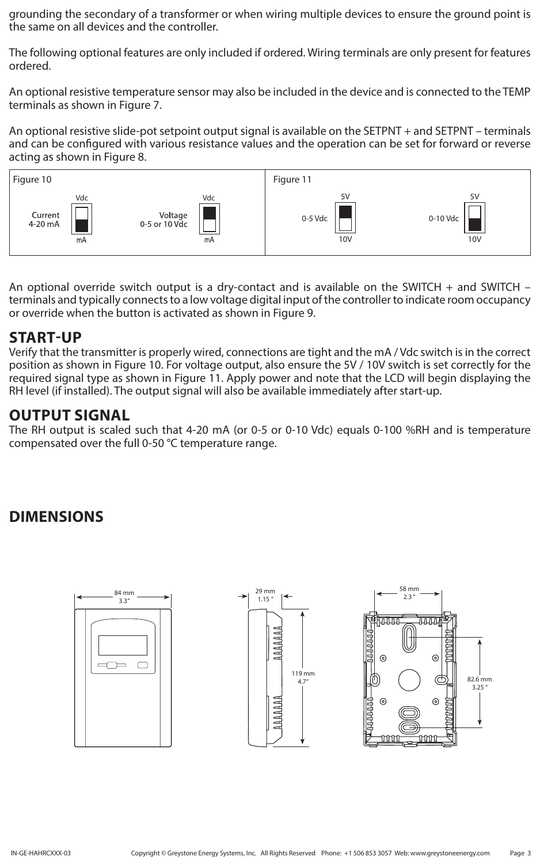grounding the secondary of a transformer or when wiring multiple devices to ensure the ground point is the same on all devices and the controller.

The following optional features are only included if ordered. Wiring terminals are only present for features ordered.

An optional resistive temperature sensor may also be included in the device and is connected to the TEMP terminals as shown in Figure 7.

An optional resistive slide-pot setpoint output signal is available on the SETPNT + and SETPNT – terminals and can be configured with various resistance values and the operation can be set for forward or reverse acting as shown in Figure 8.



An optional override switch output is a dry-contact and is available on the SWITCH + and SWITCH – terminals and typically connects to a low voltage digital input of the controller to indicate room occupancy or override when the button is activated as shown in Figure 9.

### **START-UP**

Verify that the transmitter is properly wired, connections are tight and the mA / Vdc switch is in the correct position as shown in Figure 10. For voltage output, also ensure the 5V / 10V switch is set correctly for the required signal type as shown in Figure 11. Apply power and note that the LCD will begin displaying the RH level (if installed). The output signal will also be available immediately after start-up.

### **OUTPUT SIGNAL**

The RH output is scaled such that 4-20 mA (or 0-5 or 0-10 Vdc) equals 0-100 %RH and is temperature compensated over the full 0-50 °C temperature range.

## **DIMENSIONS**